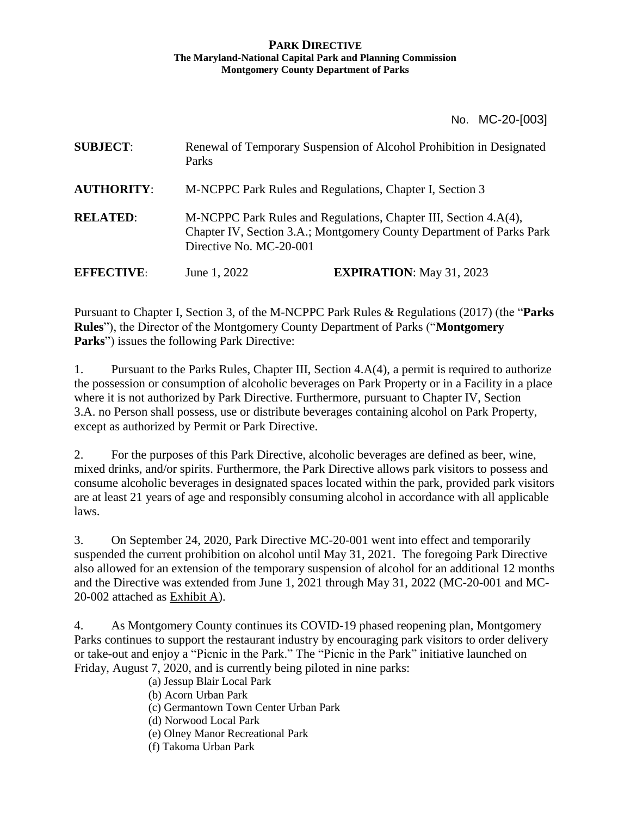#### **PARK DIRECTIVE The Maryland-National Capital Park and Planning Commission Montgomery County Department of Parks**

No. MC-20-[003]

| <b>SUBJECT:</b>   | Parks                                                                                                                                                               | Renewal of Temporary Suspension of Alcohol Prohibition in Designated |
|-------------------|---------------------------------------------------------------------------------------------------------------------------------------------------------------------|----------------------------------------------------------------------|
| <b>AUTHORITY:</b> | M-NCPPC Park Rules and Regulations, Chapter I, Section 3                                                                                                            |                                                                      |
| <b>RELATED:</b>   | M-NCPPC Park Rules and Regulations, Chapter III, Section 4.A(4),<br>Chapter IV, Section 3.A.; Montgomery County Department of Parks Park<br>Directive No. MC-20-001 |                                                                      |
| <b>EFFECTIVE:</b> | June 1, 2022                                                                                                                                                        | <b>EXPIRATION:</b> May 31, 2023                                      |

Pursuant to Chapter I, Section 3, of the M-NCPPC Park Rules & Regulations (2017) (the "**Parks Rules**"), the Director of the Montgomery County Department of Parks ("**Montgomery Parks**") issues the following Park Directive:

1. Pursuant to the Parks Rules, Chapter III, Section 4.A(4), a permit is required to authorize the possession or consumption of alcoholic beverages on Park Property or in a Facility in a place where it is not authorized by Park Directive. Furthermore, pursuant to Chapter IV, Section 3.A. no Person shall possess, use or distribute beverages containing alcohol on Park Property, except as authorized by Permit or Park Directive.

2. For the purposes of this Park Directive, alcoholic beverages are defined as beer, wine, mixed drinks, and/or spirits. Furthermore, the Park Directive allows park visitors to possess and consume alcoholic beverages in designated spaces located within the park, provided park visitors are at least 21 years of age and responsibly consuming alcohol in accordance with all applicable laws.

3. On September 24, 2020, Park Directive MC-20-001 went into effect and temporarily suspended the current prohibition on alcohol until May 31, 2021. The foregoing Park Directive also allowed for an extension of the temporary suspension of alcohol for an additional 12 months and the Directive was extended from June 1, 2021 through May 31, 2022 (MC-20-001 and MC-20-002 attached as Exhibit A).

4. As Montgomery County continues its COVID-19 phased reopening plan, Montgomery Parks continues to support the restaurant industry by encouraging park visitors to order delivery or take-out and enjoy a "Picnic in the Park." The "Picnic in the Park" initiative launched on Friday, August 7, 2020, and is currently being piloted in nine parks:

(a) Jessup Blair Local Park

(b) Acorn Urban Park

(c) Germantown Town Center Urban Park

(d) Norwood Local Park

(e) Olney Manor Recreational Park

(f) Takoma Urban Park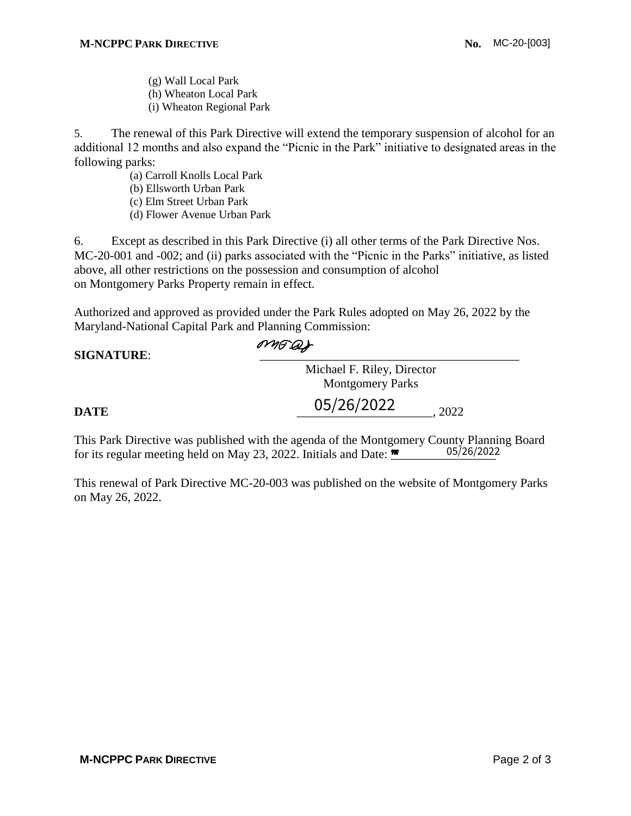(g) Wall Local Park (h) Wheaton Local Park (i) Wheaton Regional Park

5. The renewal of this Park Directive will extend the temporary suspension of alcohol for an additional 12 months and also expand the "Picnic in the Park" initiative to designated areas in the following parks:

- (a) Carroll Knolls Local Park
- (b) Ellsworth Urban Park
- (c) Elm Street Urban Park
- (d) Flower Avenue Urban Park

6. Except as described in this Park Directive (i) all other terms of the Park Directive Nos. MC-20-001 and -002; and (ii) parks associated with the "Picnic in the Parks" initiative, as listed above, all other restrictions on the possession and consumption of alcohol on Montgomery Parks Property remain in effect.

Authorized and approved as provided under the Park Rules adopted on May 26, 2022 by the Maryland-National Capital Park and Planning Commission:

## SIGNATURE:  $\overline{OMFQ}$

Michael F. Riley, Director Montgomery Parks

05/26/2022

#### **DATE**  $0.3/20/2022$   $0.2022$

This Park Directive was published with the agenda of the Montgomery County Planning Board for its regular meeting held on May 23, 2022. Initials and Date:  $\mathbf{R}$ 05/26/2022

This renewal of Park Directive MC-20-003 was published on the website of Montgomery Parks on May 26, 2022.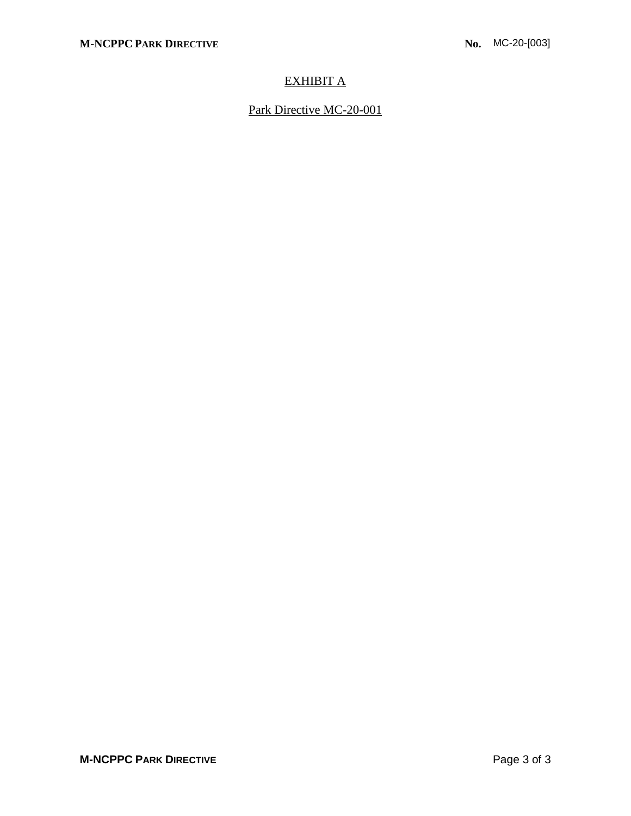### EXHIBIT A

Park Directive MC-20-001